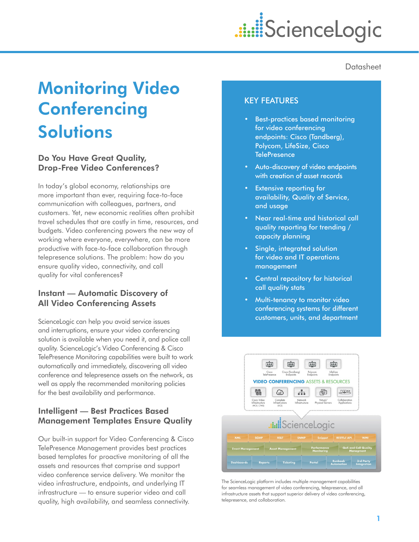# 

**Datasheet** 

# Monitoring Video **Conferencing Solutions**

# Do You Have Great Quality, Drop-Free Video Conferences?

In today's global economy, relationships are more important than ever, requiring face-to-face communication with colleagues, partners, and customers. Yet, new economic realities often prohibit travel schedules that are costly in time, resources, and budgets. Video conferencing powers the new way of working where everyone, everywhere, can be more productive with face-to-face collaboration through telepresence solutions. The problem: how do you ensure quality video, connectivity, and call quality for vital conferences?

# Instant — Automatic Discovery of All Video Conferencing Assets

ScienceLogic can help you avoid service issues and interruptions, ensure your video conferencing solution is available when you need it, and police call quality. ScienceLogic's Video Conferencing & Cisco TelePresence Monitoring capabilities were built to work automatically and immediately, discovering all video conference and telepresence assets on the network, as well as apply the recommended monitoring policies for the best availability and performance.

# Intelligent — Best Practices Based Management Templates Ensure Quality

Our built-in support for Video Conferencing & Cisco TelePresence Management provides best practices based templates for proactive monitoring of all the assets and resources that comprise and support video conference service delivery. We monitor the video infrastructure, endpoints, and underlying IT infrastructure — to ensure superior video and call quality, high availability, and seamless connectivity.

# KEY FEATURES

- **Best-practices based monitoring** for video conferencing endpoints: Cisco (Tandberg), Polycom, LifeSize, Cisco **TelePresence**
- Auto-discovery of video endpoints with creation of asset records
- **Extensive reporting for** availability, Quality of Service, and usage
- Near real-time and historical call quality reporting for trending / capacity planning
- Single, integrated solution for video and IT operations management
- Central repository for historical call quality stats
- Multi-tenancy to monitor video conferencing systems for different customers, units, and department



The ScienceLogic platform includes multiple management capabilities for seamless management of video conferencing, telepresence, and all infrastructure assets that support superior delivery of video conferencing, telepresence, and collaboration.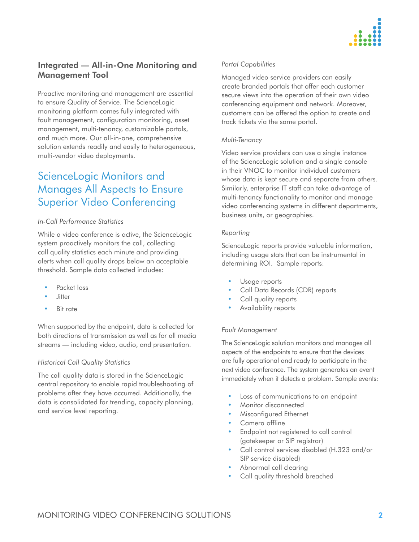

# Integrated — All-in-One Monitoring and Management Tool

Proactive monitoring and management are essential to ensure Quality of Service. The ScienceLogic monitoring platform comes fully integrated with fault management, configuration monitoring, asset management, multi-tenancy, customizable portals, and much more. Our all-in-one, comprehensive solution extends readily and easily to heterogeneous, multi-vendor video deployments.

# ScienceLogic Monitors and Manages All Aspects to Ensure Superior Video Conferencing

#### *In-Call Performance Statistics*

While a video conference is active, the ScienceLogic system proactively monitors the call, collecting call quality statistics each minute and providing alerts when call quality drops below an acceptable threshold. Sample data collected includes:

- Packet loss
- **Jitter**
- **Bit rate**

When supported by the endpoint, data is collected for both directions of transmission as well as for all media streams — including video, audio, and presentation.

#### *Historical Call Quality Statistics*

The call quality data is stored in the ScienceLogic central repository to enable rapid troubleshooting of problems after they have occurred. Additionally, the data is consolidated for trending, capacity planning, and service level reporting.

#### *Portal Capabilities*

Managed video service providers can easily create branded portals that offer each customer secure views into the operation of their own video conferencing equipment and network. Moreover, customers can be offered the option to create and track tickets via the same portal.

#### *Multi-Tenancy*

Video service providers can use a single instance of the ScienceLogic solution and a single console in their VNOC to monitor individual customers whose data is kept secure and separate from others. Similarly, enterprise IT staff can take advantage of multi-tenancy functionality to monitor and manage video conferencing systems in different departments, business units, or geographies.

#### *Reporting*

ScienceLogic reports provide valuable information, including usage stats that can be instrumental in determining ROI. Sample reports:

- Usage reports
- Call Data Records (CDR) reports
- Call quality reports
- Availability reports

#### *Fault Management*

The ScienceLogic solution monitors and manages all aspects of the endpoints to ensure that the devices are fully operational and ready to participate in the next video conference. The system generates an event immediately when it detects a problem. Sample events:

- Loss of communications to an endpoint
- Monitor disconnected
- **Misconfigured Ethernet**
- Camera offline
- Endpoint not registered to call control (gatekeeper or SIP registrar)
- • Call control services disabled (H.323 and/or SIP service disabled)
- Abnormal call clearing
- Call quality threshold breached